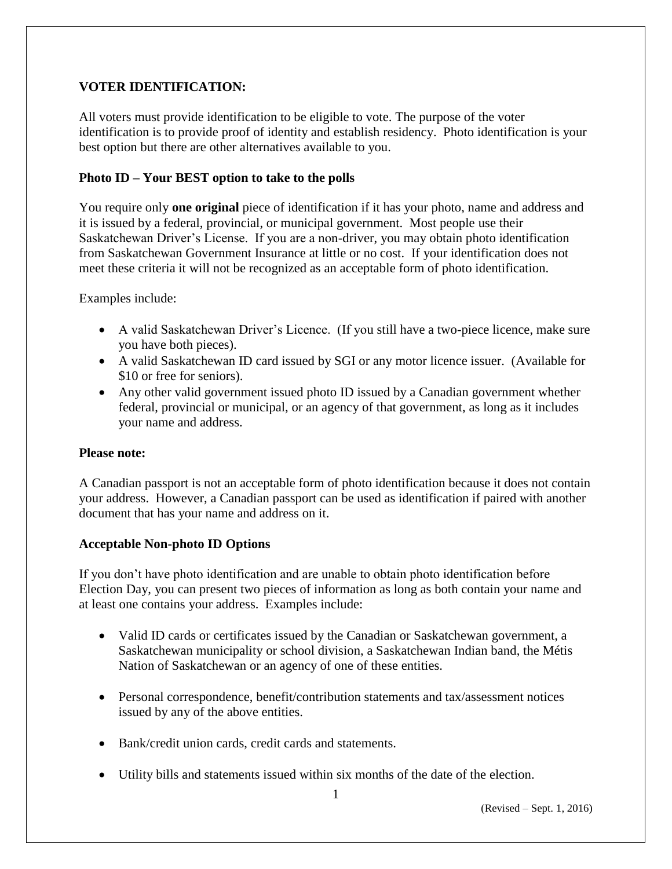## **VOTER IDENTIFICATION:**

All voters must provide identification to be eligible to vote. The purpose of the voter identification is to provide proof of identity and establish residency. Photo identification is your best option but there are other alternatives available to you.

# **Photo ID – Your BEST option to take to the polls**

You require only **one original** piece of identification if it has your photo, name and address and it is issued by a federal, provincial, or municipal government. Most people use their Saskatchewan Driver's License. If you are a non-driver, you may obtain photo identification from Saskatchewan Government Insurance at little or no cost. If your identification does not meet these criteria it will not be recognized as an acceptable form of photo identification.

Examples include:

- A valid Saskatchewan Driver's Licence. (If you still have a two-piece licence, make sure you have both pieces).
- A valid Saskatchewan ID card issued by SGI or any motor licence issuer. (Available for \$10 or free for seniors).
- Any other valid government issued photo ID issued by a Canadian government whether federal, provincial or municipal, or an agency of that government, as long as it includes your name and address.

## **Please note:**

A Canadian passport is not an acceptable form of photo identification because it does not contain your address. However, a Canadian passport can be used as identification if paired with another document that has your name and address on it.

## **Acceptable Non-photo ID Options**

If you don't have photo identification and are unable to obtain photo identification before Election Day, you can present two pieces of information as long as both contain your name and at least one contains your address. Examples include:

- Valid ID cards or certificates issued by the Canadian or Saskatchewan government, a Saskatchewan municipality or school division, a Saskatchewan Indian band, the Métis Nation of Saskatchewan or an agency of one of these entities.
- Personal correspondence, benefit/contribution statements and tax/assessment notices issued by any of the above entities.
- Bank/credit union cards, credit cards and statements.
- Utility bills and statements issued within six months of the date of the election.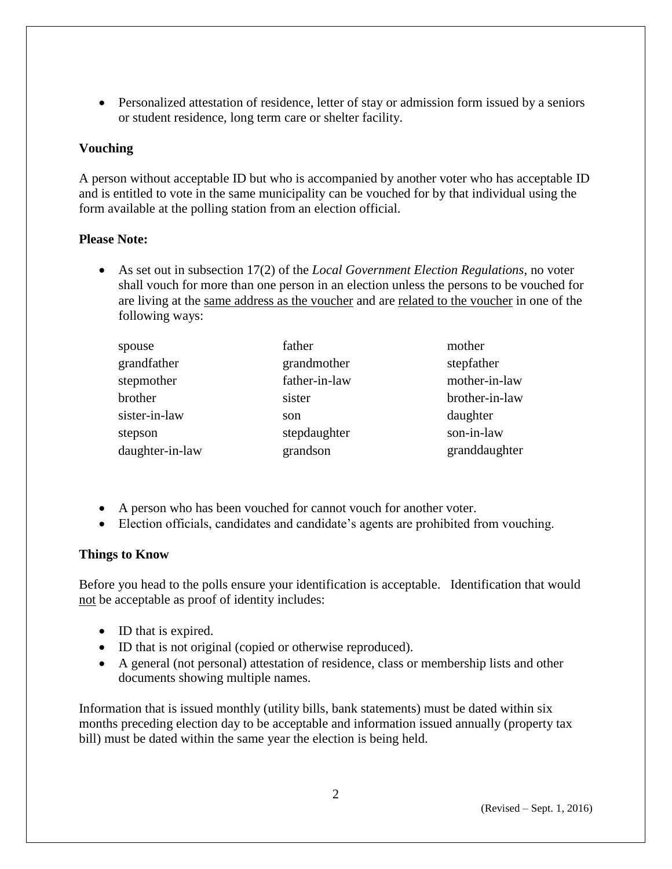Personalized attestation of residence, letter of stay or admission form issued by a seniors or student residence, long term care or shelter facility.

### **Vouching**

A person without acceptable ID but who is accompanied by another voter who has acceptable ID and is entitled to vote in the same municipality can be vouched for by that individual using the form available at the polling station from an election official.

#### **Please Note:**

 As set out in subsection 17(2) of the *Local Government Election Regulations*, no voter shall vouch for more than one person in an election unless the persons to be vouched for are living at the same address as the voucher and are related to the voucher in one of the following ways:

| spouse          | father        | mother         |
|-----------------|---------------|----------------|
| grandfather     | grandmother   | stepfather     |
| stepmother      | father-in-law | mother-in-law  |
| brother         | sister        | brother-in-law |
| sister-in-law   | son           | daughter       |
| stepson         | stepdaughter  | son-in-law     |
| daughter-in-law | grandson      | granddaughter  |

- A person who has been vouched for cannot vouch for another voter.
- Election officials, candidates and candidate's agents are prohibited from vouching.

#### **Things to Know**

Before you head to the polls ensure your identification is acceptable. Identification that would not be acceptable as proof of identity includes:

- ID that is expired.
- ID that is not original (copied or otherwise reproduced).
- A general (not personal) attestation of residence, class or membership lists and other documents showing multiple names.

Information that is issued monthly (utility bills, bank statements) must be dated within six months preceding election day to be acceptable and information issued annually (property tax bill) must be dated within the same year the election is being held.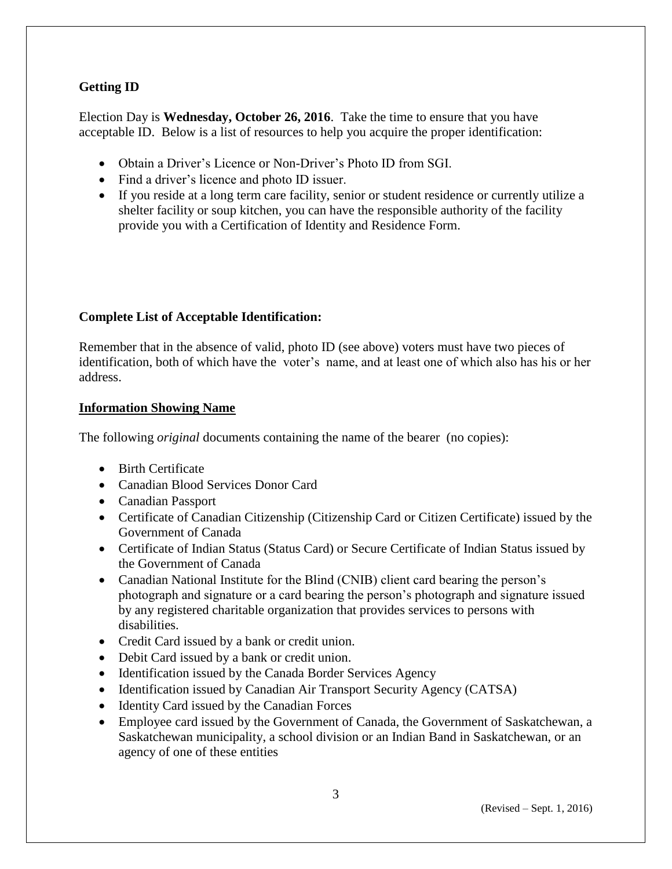# **Getting ID**

Election Day is **Wednesday, October 26, 2016**. Take the time to ensure that you have acceptable ID. Below is a list of resources to help you acquire the proper identification:

- Obtain a Driver's Licence or Non-Driver's Photo ID from SGI.
- Find a driver's licence and photo ID issuer.
- If you reside at a long term care facility, senior or student residence or currently utilize a shelter facility or soup kitchen, you can have the responsible authority of the facility provide you with a Certification of Identity and Residence Form.

## **Complete List of Acceptable Identification:**

Remember that in the absence of valid, photo ID (see above) voters must have two pieces of identification, both of which have the voter's name, and at least one of which also has his or her address.

### **Information Showing Name**

The following *original* documents containing the name of the bearer (no copies):

- Birth Certificate
- Canadian Blood Services Donor Card
- Canadian Passport
- Certificate of Canadian Citizenship (Citizenship Card or Citizen Certificate) issued by the Government of Canada
- Certificate of Indian Status (Status Card) or Secure Certificate of Indian Status issued by the Government of Canada
- Canadian National Institute for the Blind (CNIB) client card bearing the person's photograph and signature or a card bearing the person's photograph and signature issued by any registered charitable organization that provides services to persons with disabilities.
- Credit Card issued by a bank or credit union.
- Debit Card issued by a bank or credit union.
- Identification issued by the Canada Border Services Agency
- Identification issued by Canadian Air Transport Security Agency (CATSA)
- Identity Card issued by the Canadian Forces
- Employee card issued by the Government of Canada, the Government of Saskatchewan, a Saskatchewan municipality, a school division or an Indian Band in Saskatchewan, or an agency of one of these entities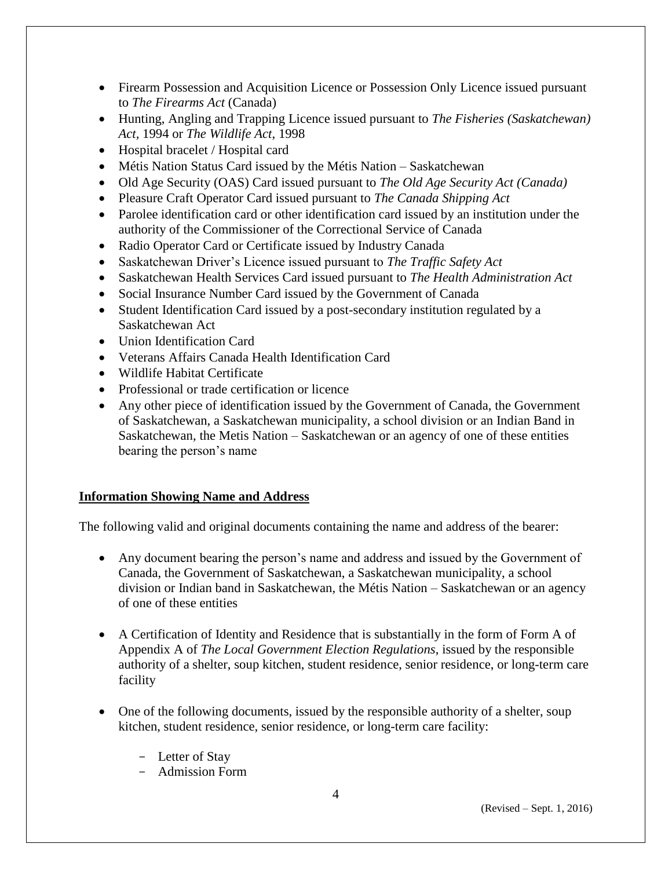- Firearm Possession and Acquisition Licence or Possession Only Licence issued pursuant to *The Firearms Act* (Canada)
- Hunting, Angling and Trapping Licence issued pursuant to *The Fisheries (Saskatchewan) Act,* 1994 or *The Wildlife Act*, 1998
- Hospital bracelet / Hospital card
- Métis Nation Status Card issued by the Métis Nation Saskatchewan
- Old Age Security (OAS) Card issued pursuant to *The Old Age Security Act (Canada)*
- Pleasure Craft Operator Card issued pursuant to *The Canada Shipping Act*
- Parolee identification card or other identification card issued by an institution under the authority of the Commissioner of the Correctional Service of Canada
- Radio Operator Card or Certificate issued by Industry Canada
- Saskatchewan Driver's Licence issued pursuant to *The Traffic Safety Act*
- Saskatchewan Health Services Card issued pursuant to *The Health Administration Act*
- Social Insurance Number Card issued by the Government of Canada
- Student Identification Card issued by a post-secondary institution regulated by a Saskatchewan Act
- Union Identification Card
- Veterans Affairs Canada Health Identification Card
- Wildlife Habitat Certificate
- Professional or trade certification or licence
- Any other piece of identification issued by the Government of Canada, the Government of Saskatchewan, a Saskatchewan municipality, a school division or an Indian Band in Saskatchewan, the Metis Nation – Saskatchewan or an agency of one of these entities bearing the person's name

#### **Information Showing Name and Address**

The following valid and original documents containing the name and address of the bearer:

- Any document bearing the person's name and address and issued by the Government of Canada, the Government of Saskatchewan, a Saskatchewan municipality, a school division or Indian band in Saskatchewan, the Métis Nation – Saskatchewan or an agency of one of these entities
- A Certification of Identity and Residence that is substantially in the form of Form A of Appendix A of *The Local Government Election Regulations*, issued by the responsible authority of a shelter, soup kitchen, student residence, senior residence, or long-term care facility
- One of the following documents, issued by the responsible authority of a shelter, soup kitchen, student residence, senior residence, or long-term care facility:
	- Letter of Stay
	- Admission Form